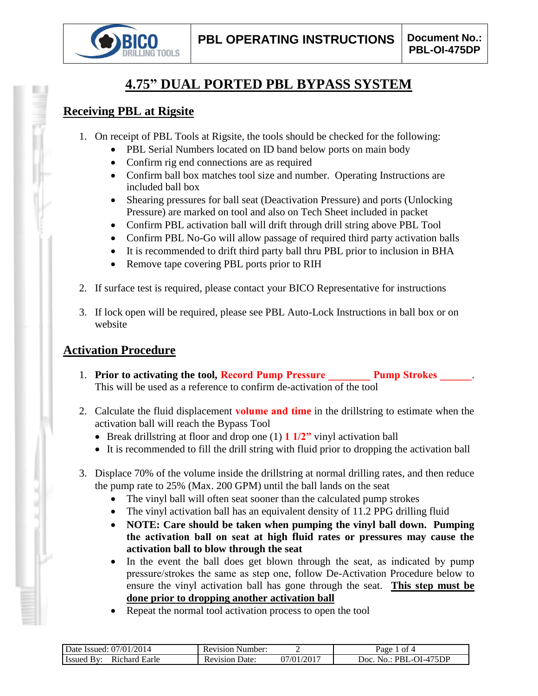

# **4.75" DUAL PORTED PBL BYPASS SYSTEM**

### **Receiving PBL at Rigsite**

- 1. On receipt of PBL Tools at Rigsite, the tools should be checked for the following:
	- PBL Serial Numbers located on ID band below ports on main body
	- Confirm rig end connections are as required
	- Confirm ball box matches tool size and number. Operating Instructions are included ball box
	- Shearing pressures for ball seat (Deactivation Pressure) and ports (Unlocking Pressure) are marked on tool and also on Tech Sheet included in packet
	- Confirm PBL activation ball will drift through drill string above PBL Tool
	- Confirm PBL No-Go will allow passage of required third party activation balls
	- It is recommended to drift third party ball thru PBL prior to inclusion in BHA
	- Remove tape covering PBL ports prior to RIH
- 2. If surface test is required, please contact your BICO Representative for instructions
- 3. If lock open will be required, please see PBL Auto-Lock Instructions in ball box or on website

## **Activation Procedure**

- 1. **Prior to activating the tool, Record Pump Pressure Pump Strokes 2014** This will be used as a reference to confirm de-activation of the tool
- 2. Calculate the fluid displacement **volume and time** in the drillstring to estimate when the activation ball will reach the Bypass Tool
	- Break drillstring at floor and drop one (1) **1 1/2"** vinyl activation ball
	- It is recommended to fill the drill string with fluid prior to dropping the activation ball
- 3. Displace 70% of the volume inside the drillstring at normal drilling rates, and then reduce the pump rate to 25% (Max. 200 GPM) until the ball lands on the seat
	- The vinyl ball will often seat sooner than the calculated pump strokes
	- The vinyl activation ball has an equivalent density of 11.2 PPG drilling fluid
	- **NOTE: Care should be taken when pumping the vinyl ball down. Pumping the activation ball on seat at high fluid rates or pressures may cause the activation ball to blow through the seat**
	- In the event the ball does get blown through the seat, as indicated by pump pressure/strokes the same as step one, follow De-Activation Procedure below to ensure the vinyl activation ball has gone through the seat. **This step must be done prior to dropping another activation ball**
	- Repeat the normal tool activation process to open the tool

| 2014<br>07/01/<br>Date Issued:                 | Number:<br>Revision     |               | nt 4<br>Раое                           |
|------------------------------------------------|-------------------------|---------------|----------------------------------------|
| Earle<br>ıchard<br>- Issued<br>R <sub>10</sub> | Jate:<br>evision.<br>ĸι | /2017<br>7/01 | 475DP<br>Joc<br>1.IU I<br>$\mathbf{N}$ |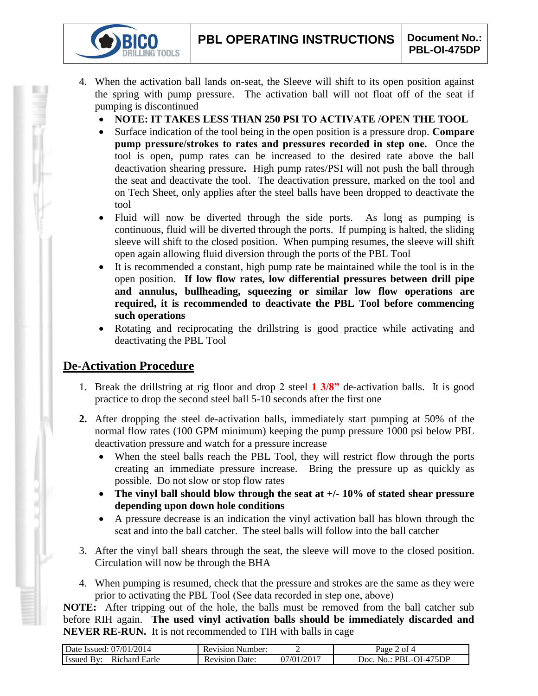- 4. When the activation ball lands on-seat, the Sleeve will shift to its open position against the spring with pump pressure. The activation ball will not float off of the seat if pumping is discontinued
	- **NOTE: IT TAKES LESS THAN 250 PSI TO ACTIVATE /OPEN THE TOOL**
	- Surface indication of the tool being in the open position is a pressure drop. **Compare pump pressure/strokes to rates and pressures recorded in step one.** Once the tool is open, pump rates can be increased to the desired rate above the ball deactivation shearing pressure**.** High pump rates/PSI will not push the ball through the seat and deactivate the tool. The deactivation pressure, marked on the tool and on Tech Sheet, only applies after the steel balls have been dropped to deactivate the tool
	- Fluid will now be diverted through the side ports. As long as pumping is continuous, fluid will be diverted through the ports. If pumping is halted, the sliding sleeve will shift to the closed position. When pumping resumes, the sleeve will shift open again allowing fluid diversion through the ports of the PBL Tool
	- It is recommended a constant, high pump rate be maintained while the tool is in the open position. **If low flow rates, low differential pressures between drill pipe and annulus, bullheading, squeezing or similar low flow operations are required, it is recommended to deactivate the PBL Tool before commencing such operations**
	- Rotating and reciprocating the drillstring is good practice while activating and deactivating the PBL Tool

### **De-Activation Procedure**

**IG TOOLS** 

- 1. Break the drillstring at rig floor and drop 2 steel **1 3/8"** de-activation balls. It is good practice to drop the second steel ball 5-10 seconds after the first one
- **2.** After dropping the steel de-activation balls, immediately start pumping at 50% of the normal flow rates (100 GPM minimum) keeping the pump pressure 1000 psi below PBL deactivation pressure and watch for a pressure increase
	- When the steel balls reach the PBL Tool, they will restrict flow through the ports creating an immediate pressure increase. Bring the pressure up as quickly as possible. Do not slow or stop flow rates
	- **The vinyl ball should blow through the seat at +/- 10% of stated shear pressure depending upon down hole conditions**
	- A pressure decrease is an indication the vinyl activation ball has blown through the seat and into the ball catcher. The steel balls will follow into the ball catcher
- 3. After the vinyl ball shears through the seat, the sleeve will move to the closed position. Circulation will now be through the BHA
- 4. When pumping is resumed, check that the pressure and strokes are the same as they were prior to activating the PBL Tool (See data recorded in step one, above)

**NOTE:** After tripping out of the hole, the balls must be removed from the ball catcher sub before RIH again. **The used vinyl activation balls should be immediately discarded and NEVER RE-RUN.** It is not recommended to TIH with balls in cage

| Date Issued: 07/01/2014            | <b>Revision Number:</b> |                         | $2$ of 4<br>$a$ ge $\overline{a}$         |
|------------------------------------|-------------------------|-------------------------|-------------------------------------------|
| <b>Issued By:</b><br>Richard Earle | Revision<br>Date:       | .)7/01/201 <sup>-</sup> | $\therefore$ PBL-OI-475DP<br>Doc.<br>No . |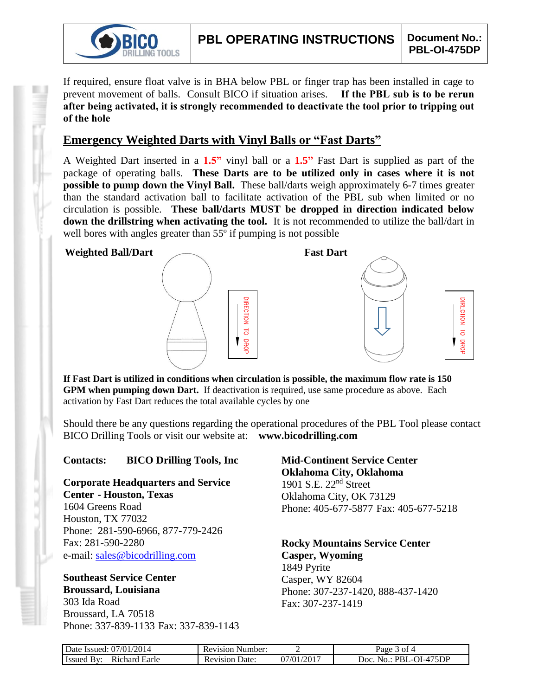

**JRECTION** 

 $\overline{d}$ 

**DROF** 

If required, ensure float valve is in BHA below PBL or finger trap has been installed in cage to prevent movement of balls. Consult BICO if situation arises. **If the PBL sub is to be rerun after being activated, it is strongly recommended to deactivate the tool prior to tripping out of the hole**

### **Emergency Weighted Darts with Vinyl Balls or "Fast Darts"**

A Weighted Dart inserted in a **1.5"** vinyl ball or a **1.5"** Fast Dart is supplied as part of the package of operating balls. **These Darts are to be utilized only in cases where it is not possible to pump down the Vinyl Ball.** These ball/darts weigh approximately 6-7 times greater than the standard activation ball to facilitate activation of the PBL sub when limited or no circulation is possible. **These ball/darts MUST be dropped in direction indicated below down the drillstring when activating the tool.** It is not recommended to utilize the ball/dart in well bores with angles greater than 55<sup>°</sup> if pumping is not possible

#### **Weighted Ball/Dart Fast Dart**





**If Fast Dart is utilized in conditions when circulation is possible, the maximum flow rate is 150 GPM when pumping down Dart.** If deactivation is required, use same procedure as above. Each activation by Fast Dart reduces the total available cycles by one

Should there be any questions regarding the operational procedures of the PBL Tool please contact BICO Drilling Tools or visit our website at: **www.bicodrilling.com**

#### **Contacts: BICO Drilling Tools, Inc**

**Corporate Headquarters and Service Center - Houston, Texas**

1604 Greens Road Houston, TX 77032 Phone: 281-590-6966, 877-779-2426 Fax: 281-590-2280 e-mail: [sales@bicodrilling.com](mailto:sales@bicodrilling.com)

**Southeast Service Center Broussard, Louisiana**

303 Ida Road Broussard, LA 70518 Phone: 337-839-1133 Fax: 337-839-1143 **Mid-Continent Service Center Oklahoma City, Oklahoma** 1901 S.E. 22nd Street Oklahoma City, OK 73129 Phone: 405-677-5877 Fax: 405-677-5218

**Rocky Mountains Service Center Casper, Wyoming** 1849 Pyrite Casper, WY 82604 Phone: 307-237-1420, 888-437-1420 Fax: 307-237-1419

| Date Issued: 07/01/2014            | <b>Revision Number:</b> |            | Page 3 of 4            |
|------------------------------------|-------------------------|------------|------------------------|
| Richard Earle<br><b>Issued By:</b> | <b>Revision Date:</b>   | 07/01/2017 | Doc. No.: PBL-OI-475DP |